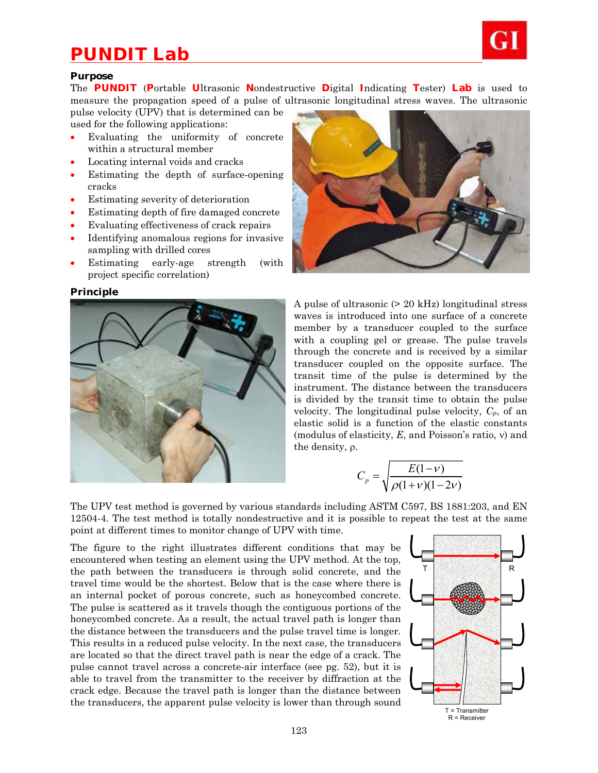# *PUNDIT Lab*



## **Purpose**

The **PUNDIT** (**P**ortable **U**ltrasonic **N**ondestructive **D**igital **I**ndicating **T**ester) **Lab** is used to measure the propagation speed of a pulse of ultrasonic longitudinal stress waves. The ultrasonic

pulse velocity (UPV) that is determined can be used for the following applications:

- Evaluating the uniformity of concrete within a structural member
- Locating internal voids and cracks
- Estimating the depth of surface-opening cracks
- Estimating severity of deterioration
- Estimating depth of fire damaged concrete
- Evaluating effectiveness of crack repairs
- Identifying anomalous regions for invasive sampling with drilled cores
- Estimating early-age strength (with project specific correlation)

## **Principle**





A pulse of ultrasonic (> 20 kHz) longitudinal stress waves is introduced into one surface of a concrete member by a transducer coupled to the surface with a coupling gel or grease. The pulse travels through the concrete and is received by a similar transducer coupled on the opposite surface. The transit time of the pulse is determined by the instrument. The distance between the transducers is divided by the transit time to obtain the pulse velocity. The longitudinal pulse velocity, *Cp*, of an elastic solid is a function of the elastic constants (modulus of elasticity,  $E$ , and Poisson's ratio,  $\nu$ ) and the density,  $\rho$ .

$$
C_p = \sqrt{\frac{E(1-\nu)}{\rho(1+\nu)(1-2\nu)}}
$$

The UPV test method is governed by various standards including ASTM C597, BS 1881:203, and EN 12504-4. The test method is totally nondestructive and it is possible to repeat the test at the same point at different times to monitor change of UPV with time.

The figure to the right illustrates different conditions that may be encountered when testing an element using the UPV method. At the top, the path between the transducers is through solid concrete, and the travel time would be the shortest. Below that is the case where there is an internal pocket of porous concrete, such as honeycombed concrete. The pulse is scattered as it travels though the contiguous portions of the honeycombed concrete. As a result, the actual travel path is longer than the distance between the transducers and the pulse travel time is longer. This results in a reduced pulse velocity. In the next case, the transducers are located so that the direct travel path is near the edge of a crack. The pulse cannot travel across a concrete-air interface (see pg. 52), but it is able to travel from the transmitter to the receiver by diffraction at the crack edge. Because the travel path is longer than the distance between the transducers, the apparent pulse velocity is lower than through sound